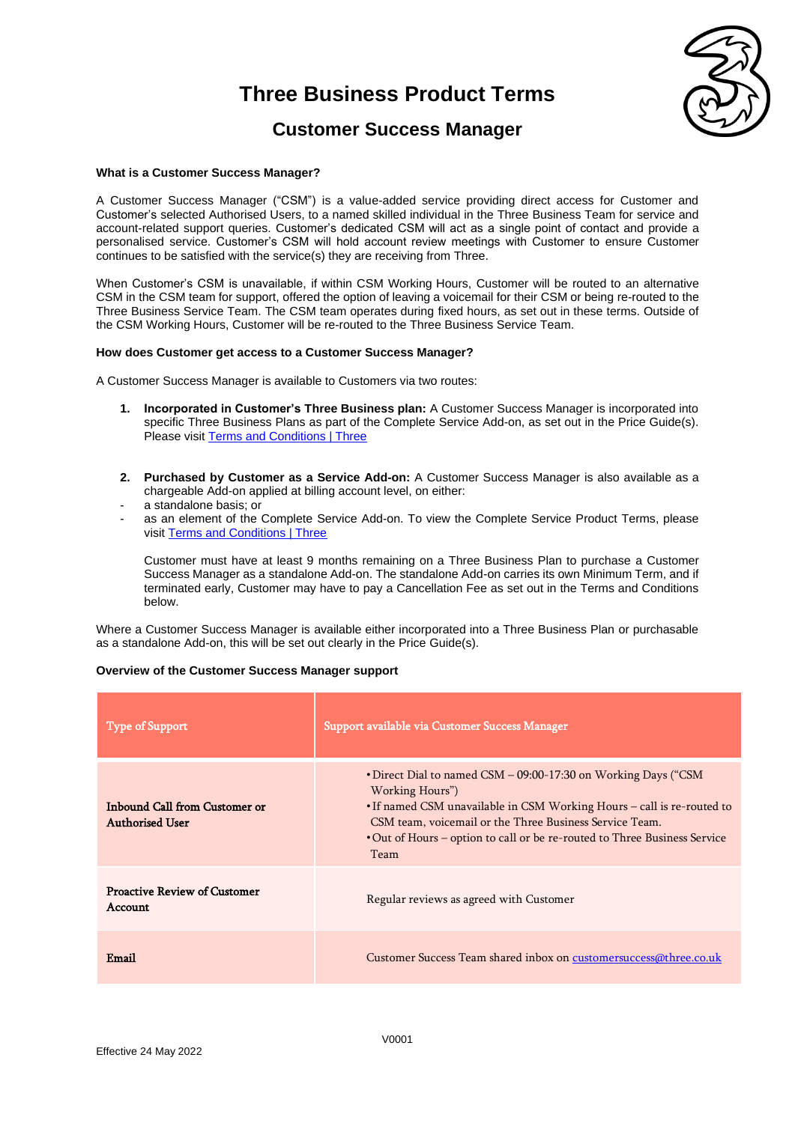

### **Customer Success Manager**

### **What is a Customer Success Manager?**

A Customer Success Manager ("CSM") is a value-added service providing direct access for Customer and Customer's selected Authorised Users, to a named skilled individual in the Three Business Team for service and account-related support queries. Customer's dedicated CSM will act as a single point of contact and provide a personalised service. Customer's CSM will hold account review meetings with Customer to ensure Customer continues to be satisfied with the service(s) they are receiving from Three.

When Customer's CSM is unavailable, if within CSM Working Hours, Customer will be routed to an alternative CSM in the CSM team for support, offered the option of leaving a voicemail for their CSM or being re-routed to the Three Business Service Team. The CSM team operates during fixed hours, as set out in these terms. Outside of the CSM Working Hours, Customer will be re-routed to the Three Business Service Team.

### **How does Customer get access to a Customer Success Manager?**

A Customer Success Manager is available to Customers via two routes:

- **1. Incorporated in Customer's Three Business plan:** A Customer Success Manager is incorporated into specific Three Business Plans as part of the Complete Service Add-on, as set out in the Price Guide(s). Please visit **Terms and Conditions | Three**
- **2. Purchased by Customer as a Service Add-on:** A Customer Success Manager is also available as a chargeable Add-on applied at billing account level, on either:
- a standalone basis; or
- as an element of the Complete Service Add-on. To view the Complete Service Product Terms, please visit [Terms and Conditions | Three](https://www.three.co.uk/terms-conditions)

Customer must have at least 9 months remaining on a Three Business Plan to purchase a Customer Success Manager as a standalone Add-on. The standalone Add-on carries its own Minimum Term, and if terminated early, Customer may have to pay a Cancellation Fee as set out in the Terms and Conditions below.

Where a Customer Success Manager is available either incorporated into a Three Business Plan or purchasable as a standalone Add-on, this will be set out clearly in the Price Guide(s).

### **Overview of the Customer Success Manager support**

| <b>Type of Support</b>                                  | Support available via Customer Success Manager                                                                                                                                                                                                                                                                     |  |  |
|---------------------------------------------------------|--------------------------------------------------------------------------------------------------------------------------------------------------------------------------------------------------------------------------------------------------------------------------------------------------------------------|--|--|
| Inbound Call from Customer or<br><b>Authorised User</b> | • Direct Dial to named CSM – 09:00-17:30 on Working Days ("CSM<br>Working Hours")<br>• If named CSM unavailable in CSM Working Hours – call is re-routed to<br>CSM team, voicemail or the Three Business Service Team.<br>• Out of Hours – option to call or be re-routed to Three Business Service<br><b>Team</b> |  |  |
| <b>Proactive Review of Customer</b><br><b>Account</b>   | Regular reviews as agreed with Customer                                                                                                                                                                                                                                                                            |  |  |
| Email                                                   | Customer Success Team shared inbox on customersuccess@three.co.uk                                                                                                                                                                                                                                                  |  |  |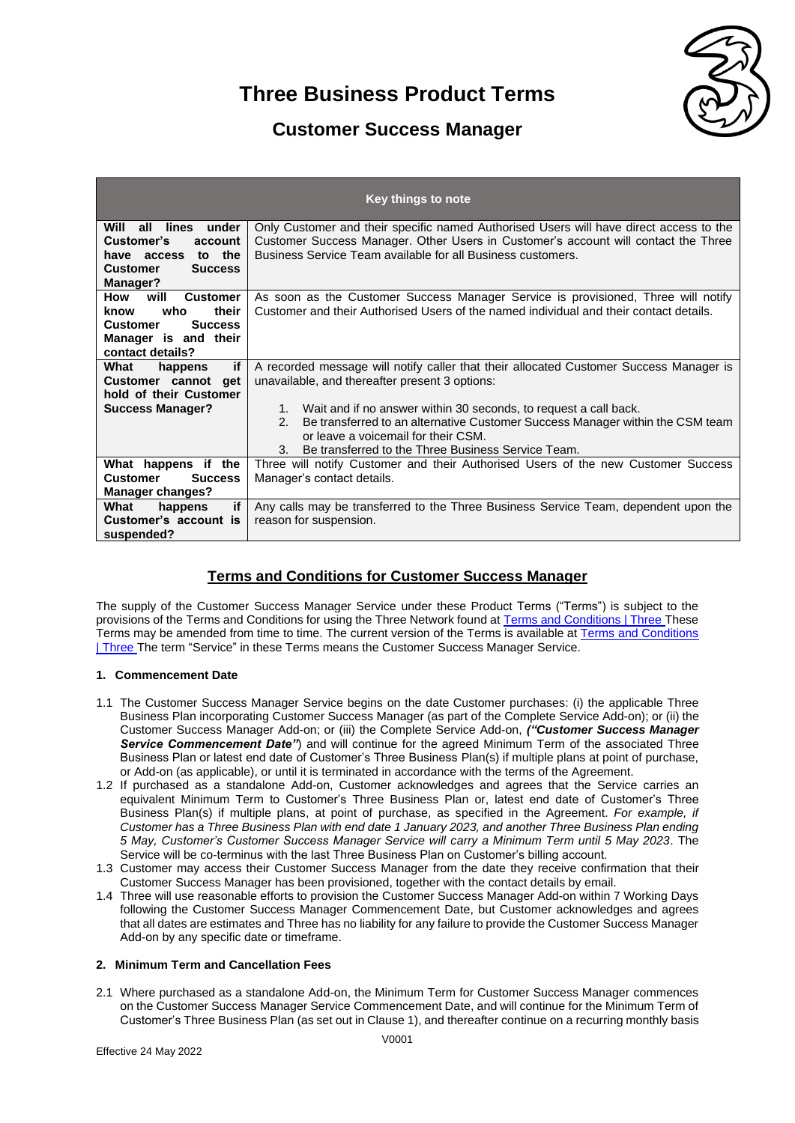

### **Customer Success Manager**

| Key things to note                                                                                                                                  |                                                                                                                                                                                                                                                                                                                                                                                                                                |  |  |  |  |
|-----------------------------------------------------------------------------------------------------------------------------------------------------|--------------------------------------------------------------------------------------------------------------------------------------------------------------------------------------------------------------------------------------------------------------------------------------------------------------------------------------------------------------------------------------------------------------------------------|--|--|--|--|
| under<br>all lines<br>Will<br>Customer's<br>account<br>have access to the<br><b>Customer</b><br><b>Success</b><br><b>Manager?</b>                   | Only Customer and their specific named Authorised Users will have direct access to the<br>Customer Success Manager. Other Users in Customer's account will contact the Three<br>Business Service Team available for all Business customers.                                                                                                                                                                                    |  |  |  |  |
| will<br>How<br><b>Customer</b><br>who<br>their<br>know<br><b>Customer</b><br><b>Success</b><br>Manager is and their<br>contact details?             | As soon as the Customer Success Manager Service is provisioned, Three will notify<br>Customer and their Authorised Users of the named individual and their contact details.                                                                                                                                                                                                                                                    |  |  |  |  |
| if<br>What<br>happens<br>Customer cannot get<br>hold of their Customer<br><b>Success Manager?</b>                                                   | A recorded message will notify caller that their allocated Customer Success Manager is<br>unavailable, and thereafter present 3 options:<br>1. Wait and if no answer within 30 seconds, to request a call back.<br>Be transferred to an alternative Customer Success Manager within the CSM team<br>$2^{\circ}$<br>or leave a voicemail for their CSM.<br>Be transferred to the Three Business Service Team.<br>3 <sub>l</sub> |  |  |  |  |
| What happens if the<br><b>Success</b><br><b>Customer</b><br><b>Manager changes?</b><br>if<br>What<br>happens<br>Customer's account is<br>suspended? | Three will notify Customer and their Authorised Users of the new Customer Success<br>Manager's contact details.<br>Any calls may be transferred to the Three Business Service Team, dependent upon the<br>reason for suspension.                                                                                                                                                                                               |  |  |  |  |

### **Terms and Conditions for Customer Success Manager**

The supply of the Customer Success Manager Service under these Product Terms ("Terms") is subject to the provisions of the Terms and Conditions for using the Three Network found at [Terms and Conditions | Three](https://www.three.co.uk/terms-conditions) These Terms may be amended from time to time. The current version of the Terms is available at [Terms and Conditions](https://www.three.co.uk/terms-conditions)  [| Three](https://www.three.co.uk/terms-conditions) The term "Service" in these Terms means the Customer Success Manager Service.

### **1. Commencement Date**

- 1.1 The Customer Success Manager Service begins on the date Customer purchases: (i) the applicable Three Business Plan incorporating Customer Success Manager (as part of the Complete Service Add-on); or (ii) the Customer Success Manager Add-on; or (iii) the Complete Service Add-on, *("Customer Success Manager Service Commencement Date"*) and will continue for the agreed Minimum Term of the associated Three Business Plan or latest end date of Customer's Three Business Plan(s) if multiple plans at point of purchase, or Add-on (as applicable), or until it is terminated in accordance with the terms of the Agreement.
- 1.2 If purchased as a standalone Add-on, Customer acknowledges and agrees that the Service carries an equivalent Minimum Term to Customer's Three Business Plan or, latest end date of Customer's Three Business Plan(s) if multiple plans, at point of purchase, as specified in the Agreement. *For example, if Customer has a Three Business Plan with end date 1 January 2023, and another Three Business Plan ending 5 May, Customer's Customer Success Manager Service will carry a Minimum Term until 5 May 2023*. The Service will be co-terminus with the last Three Business Plan on Customer's billing account.
- 1.3 Customer may access their Customer Success Manager from the date they receive confirmation that their Customer Success Manager has been provisioned, together with the contact details by email.
- 1.4 Three will use reasonable efforts to provision the Customer Success Manager Add-on within 7 Working Days following the Customer Success Manager Commencement Date, but Customer acknowledges and agrees that all dates are estimates and Three has no liability for any failure to provide the Customer Success Manager Add-on by any specific date or timeframe.

### **2. Minimum Term and Cancellation Fees**

2.1 Where purchased as a standalone Add-on, the Minimum Term for Customer Success Manager commences on the Customer Success Manager Service Commencement Date, and will continue for the Minimum Term of Customer's Three Business Plan (as set out in Clause 1), and thereafter continue on a recurring monthly basis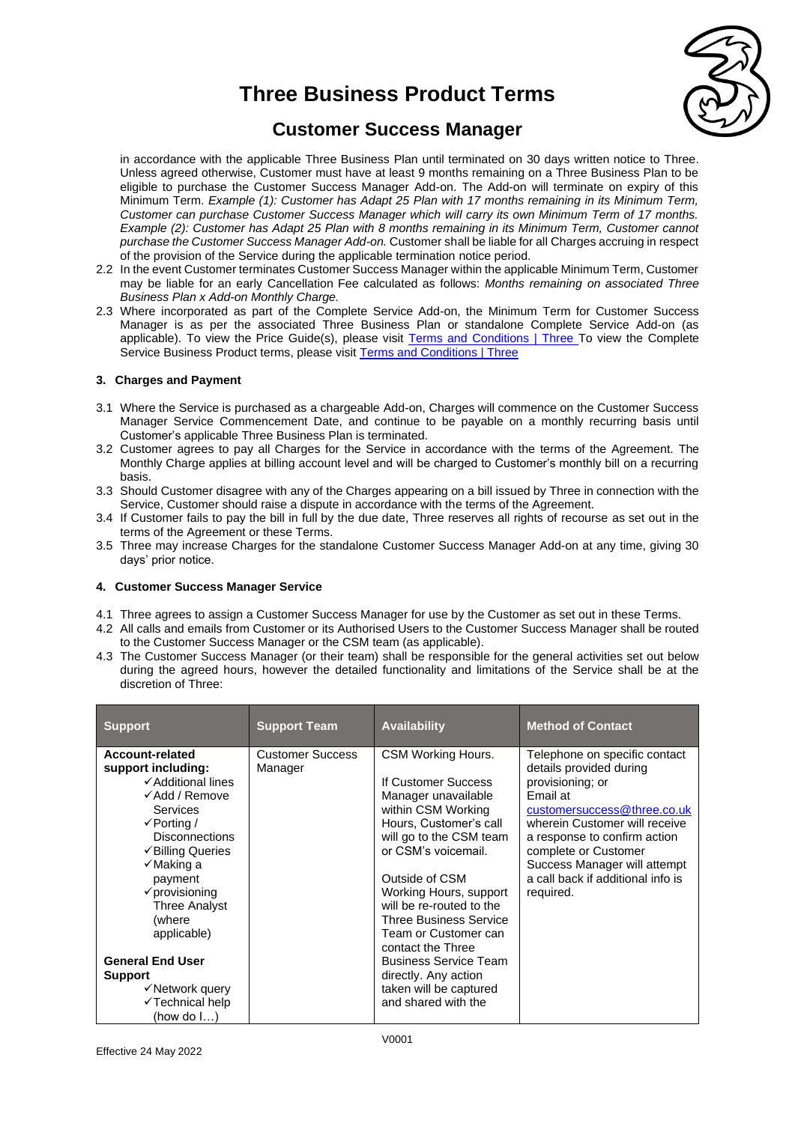

### **Customer Success Manager**

in accordance with the applicable Three Business Plan until terminated on 30 days written notice to Three. Unless agreed otherwise, Customer must have at least 9 months remaining on a Three Business Plan to be eligible to purchase the Customer Success Manager Add-on. The Add-on will terminate on expiry of this Minimum Term. *Example (1): Customer has Adapt 25 Plan with 17 months remaining in its Minimum Term, Customer can purchase Customer Success Manager which will carry its own Minimum Term of 17 months. Example (2): Customer has Adapt 25 Plan with 8 months remaining in its Minimum Term, Customer cannot purchase the Customer Success Manager Add-on.* Customer shall be liable for all Charges accruing in respect of the provision of the Service during the applicable termination notice period.

- 2.2 In the event Customer terminates Customer Success Manager within the applicable Minimum Term, Customer may be liable for an early Cancellation Fee calculated as follows: *Months remaining on associated Three Business Plan x Add-on Monthly Charge.*
- 2.3 Where incorporated as part of the Complete Service Add-on, the Minimum Term for Customer Success Manager is as per the associated Three Business Plan or standalone Complete Service Add-on (as applicable). To view the Price Guide(s), please visit [Terms and Conditions | Three](https://www.three.co.uk/terms-conditions) To view the Complete [Service Business Product terms, please visit Terms and Conditions | Three](https://www.three.co.uk/terms-conditions)

### **3. Charges and Payment**

- 3.1 Where the Service is purchased as a chargeable Add-on, Charges will commence on the Customer Success Manager Service Commencement Date, and continue to be payable on a monthly recurring basis until Customer's applicable Three Business Plan is terminated.
- 3.2 Customer agrees to pay all Charges for the Service in accordance with the terms of the Agreement. The Monthly Charge applies at billing account level and will be charged to Customer's monthly bill on a recurring basis.
- 3.3 Should Customer disagree with any of the Charges appearing on a bill issued by Three in connection with the Service, Customer should raise a dispute in accordance with the terms of the Agreement.
- 3.4 If Customer fails to pay the bill in full by the due date, Three reserves all rights of recourse as set out in the terms of the Agreement or these Terms.
- 3.5 Three may increase Charges for the standalone Customer Success Manager Add-on at any time, giving 30 days' prior notice.

### **4. Customer Success Manager Service**

- 4.1 Three agrees to assign a Customer Success Manager for use by the Customer as set out in these Terms.
- 4.2 All calls and emails from Customer or its Authorised Users to the Customer Success Manager shall be routed to the Customer Success Manager or the CSM team (as applicable).
- 4.3 The Customer Success Manager (or their team) shall be responsible for the general activities set out below during the agreed hours, however the detailed functionality and limitations of the Service shall be at the discretion of Three:

| <b>Support</b>                                                                                                                                                                                                                                                                                                                                                                    | <b>Support Team</b>                | <b>Availability</b>                                                                                                                                                                                                                                                                                                                                                                                                               | <b>Method of Contact</b>                                                                                                                                                                                                                                                                           |
|-----------------------------------------------------------------------------------------------------------------------------------------------------------------------------------------------------------------------------------------------------------------------------------------------------------------------------------------------------------------------------------|------------------------------------|-----------------------------------------------------------------------------------------------------------------------------------------------------------------------------------------------------------------------------------------------------------------------------------------------------------------------------------------------------------------------------------------------------------------------------------|----------------------------------------------------------------------------------------------------------------------------------------------------------------------------------------------------------------------------------------------------------------------------------------------------|
| Account-related<br>support including:<br>✓ Additional lines<br>$\checkmark$ Add / Remove<br>Services<br>$\checkmark$ Porting /<br><b>Disconnections</b><br>✔Billing Queries<br>√Making a<br>payment<br>$\checkmark$ provisioning<br><b>Three Analyst</b><br>(where<br>applicable)<br><b>General End User</b><br><b>Support</b><br>√Network query<br>√Technical help<br>(how do I) | <b>Customer Success</b><br>Manager | CSM Working Hours.<br>If Customer Success<br>Manager unavailable<br>within CSM Working<br>Hours, Customer's call<br>will go to the CSM team<br>or CSM's voicemail.<br>Outside of CSM<br>Working Hours, support<br>will be re-routed to the<br><b>Three Business Service</b><br>Team or Customer can<br>contact the Three<br><b>Business Service Team</b><br>directly. Any action<br>taken will be captured<br>and shared with the | Telephone on specific contact<br>details provided during<br>provisioning; or<br>Email at<br>customersuccess@three.co.uk<br>wherein Customer will receive<br>a response to confirm action<br>complete or Customer<br>Success Manager will attempt<br>a call back if additional info is<br>required. |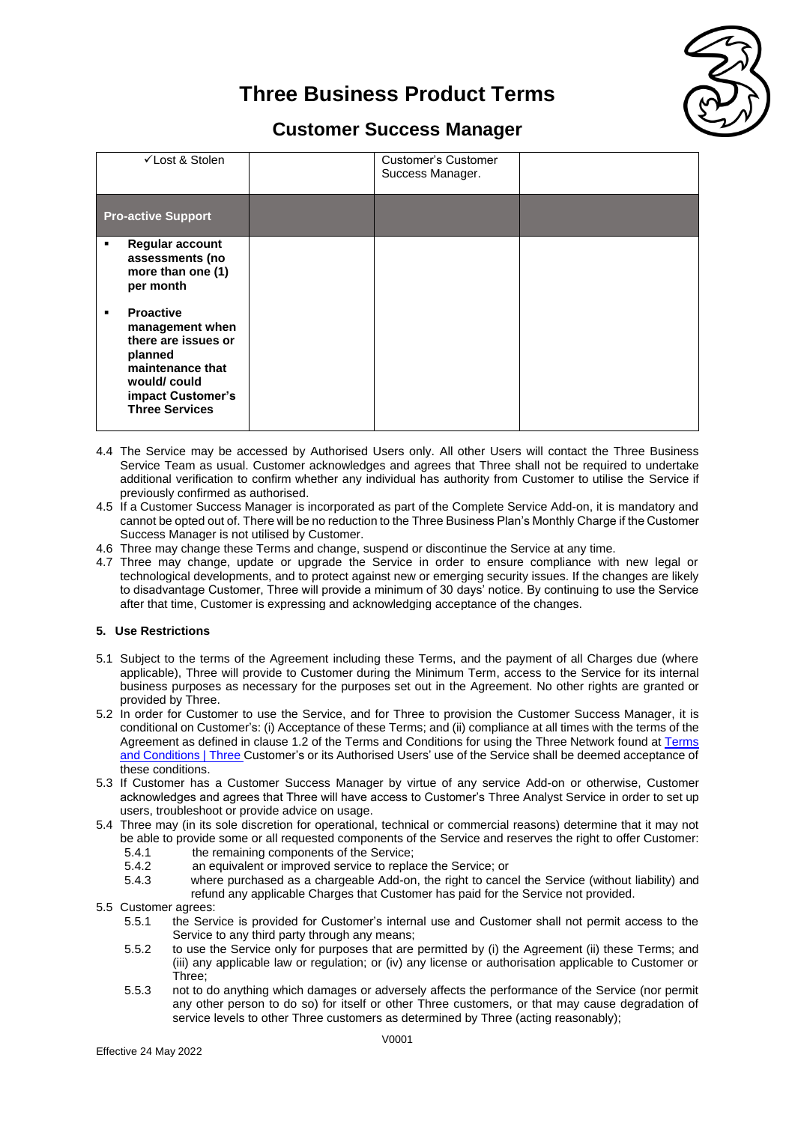

## **Customer Success Manager**

| √Lost & Stolen                                                                                                                                                           | Customer's Customer<br>Success Manager. |  |
|--------------------------------------------------------------------------------------------------------------------------------------------------------------------------|-----------------------------------------|--|
| <b>Pro-active Support</b>                                                                                                                                                |                                         |  |
| <b>Regular account</b><br>٠<br>assessments (no<br>more than one (1)<br>per month                                                                                         |                                         |  |
| <b>Proactive</b><br>$\blacksquare$<br>management when<br>there are issues or<br>planned<br>maintenance that<br>would/could<br>impact Customer's<br><b>Three Services</b> |                                         |  |

- 4.4 The Service may be accessed by Authorised Users only. All other Users will contact the Three Business Service Team as usual. Customer acknowledges and agrees that Three shall not be required to undertake additional verification to confirm whether any individual has authority from Customer to utilise the Service if previously confirmed as authorised.
- 4.5 If a Customer Success Manager is incorporated as part of the Complete Service Add-on, it is mandatory and cannot be opted out of. There will be no reduction to the Three Business Plan's Monthly Charge if the Customer Success Manager is not utilised by Customer.
- 4.6 Three may change these Terms and change, suspend or discontinue the Service at any time.
- 4.7 Three may change, update or upgrade the Service in order to ensure compliance with new legal or technological developments, and to protect against new or emerging security issues. If the changes are likely to disadvantage Customer, Three will provide a minimum of 30 days' notice. By continuing to use the Service after that time, Customer is expressing and acknowledging acceptance of the changes.

### **5. Use Restrictions**

- 5.1 Subject to the terms of the Agreement including these Terms, and the payment of all Charges due (where applicable), Three will provide to Customer during the Minimum Term, access to the Service for its internal business purposes as necessary for the purposes set out in the Agreement. No other rights are granted or provided by Three.
- 5.2 In order for Customer to use the Service, and for Three to provision the Customer Success Manager, it is conditional on Customer's: (i) Acceptance of these Terms; and (ii) compliance at all times with the terms of the Agreement as defined in clause 1.2 of the Terms and Conditions for using the Three Network found at [Terms](https://www.three.co.uk/terms-conditions)  [and Conditions | Three](https://www.three.co.uk/terms-conditions) Customer's or its Authorised Users' use of the Service shall be deemed acceptance of these conditions.
- 5.3 If Customer has a Customer Success Manager by virtue of any service Add-on or otherwise, Customer acknowledges and agrees that Three will have access to Customer's Three Analyst Service in order to set up users, troubleshoot or provide advice on usage.
- 5.4 Three may (in its sole discretion for operational, technical or commercial reasons) determine that it may not be able to provide some or all requested components of the Service and reserves the right to offer Customer:
	- 5.4.1 the remaining components of the Service;
	- 5.4.2 an equivalent or improved service to replace the Service; or
	- 5.4.3 where purchased as a chargeable Add-on, the right to cancel the Service (without liability) and
	- refund any applicable Charges that Customer has paid for the Service not provided.
- 5.5 Customer agrees:
	- 5.5.1 the Service is provided for Customer's internal use and Customer shall not permit access to the Service to any third party through any means;
	- 5.5.2 to use the Service only for purposes that are permitted by (i) the Agreement (ii) these Terms; and (iii) any applicable law or regulation; or (iv) any license or authorisation applicable to Customer or Three;
	- 5.5.3 not to do anything which damages or adversely affects the performance of the Service (nor permit any other person to do so) for itself or other Three customers, or that may cause degradation of service levels to other Three customers as determined by Three (acting reasonably);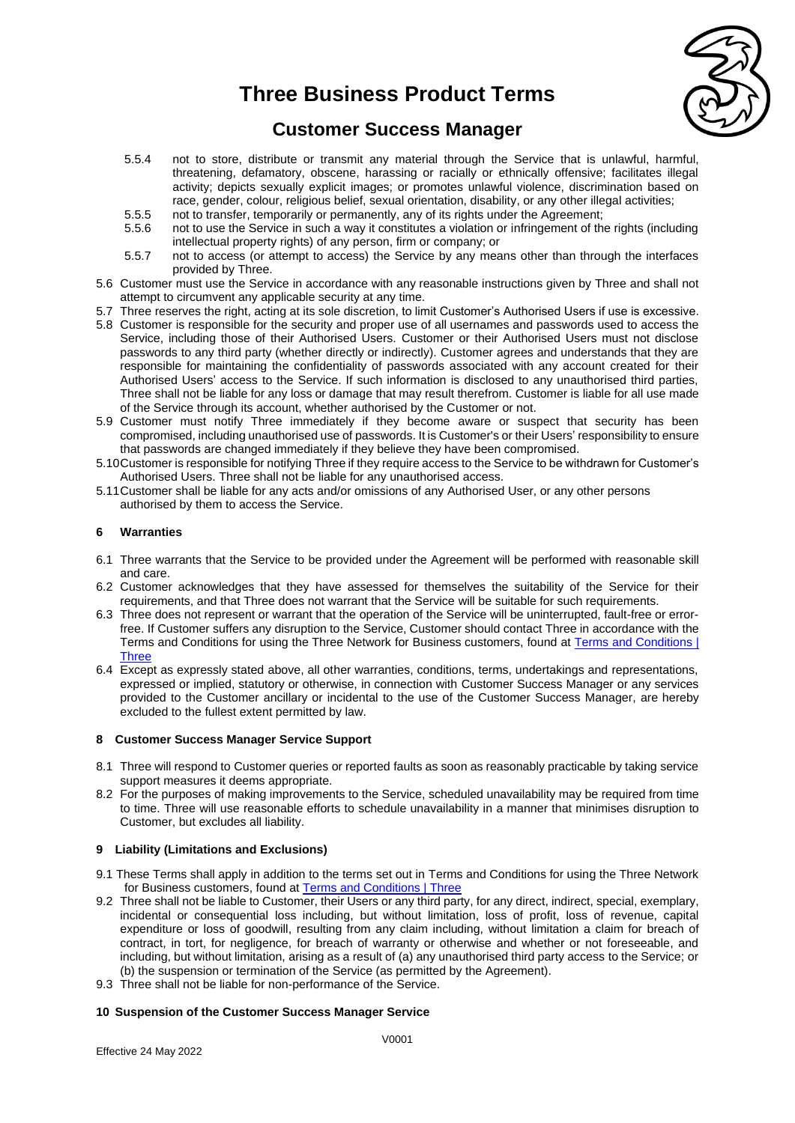

### **Customer Success Manager**

- 5.5.4 not to store, distribute or transmit any material through the Service that is unlawful, harmful, threatening, defamatory, obscene, harassing or racially or ethnically offensive; facilitates illegal activity; depicts sexually explicit images; or promotes unlawful violence, discrimination based on race, gender, colour, religious belief, sexual orientation, disability, or any other illegal activities;
- 5.5.5 not to transfer, temporarily or permanently, any of its rights under the Agreement;<br>5.5.6 not to use the Service in such a way it constitutes a violation or infringement of the
- not to use the Service in such a way it constitutes a violation or infringement of the rights (including intellectual property rights) of any person, firm or company; or
- 5.5.7 not to access (or attempt to access) the Service by any means other than through the interfaces provided by Three.
- 5.6 Customer must use the Service in accordance with any reasonable instructions given by Three and shall not attempt to circumvent any applicable security at any time.
- 5.7 Three reserves the right, acting at its sole discretion, to limit Customer's Authorised Users if use is excessive.
- 5.8 Customer is responsible for the security and proper use of all usernames and passwords used to access the Service, including those of their Authorised Users. Customer or their Authorised Users must not disclose passwords to any third party (whether directly or indirectly). Customer agrees and understands that they are responsible for maintaining the confidentiality of passwords associated with any account created for their Authorised Users' access to the Service. If such information is disclosed to any unauthorised third parties, Three shall not be liable for any loss or damage that may result therefrom. Customer is liable for all use made of the Service through its account, whether authorised by the Customer or not.
- 5.9 Customer must notify Three immediately if they become aware or suspect that security has been compromised, including unauthorised use of passwords. It is Customer's or their Users' responsibility to ensure that passwords are changed immediately if they believe they have been compromised.
- 5.10Customer is responsible for notifying Three if they require access to the Service to be withdrawn for Customer's Authorised Users. Three shall not be liable for any unauthorised access.
- 5.11Customer shall be liable for any acts and/or omissions of any Authorised User, or any other persons authorised by them to access the Service.

#### **6 Warranties**

- 6.1 Three warrants that the Service to be provided under the Agreement will be performed with reasonable skill and care.
- 6.2 Customer acknowledges that they have assessed for themselves the suitability of the Service for their requirements, and that Three does not warrant that the Service will be suitable for such requirements.
- 6.3 Three does not represent or warrant that the operation of the Service will be uninterrupted, fault-free or errorfree. If Customer suffers any disruption to the Service, Customer should contact Three in accordance with the Terms and Conditions for using the Three Network for Business customers, found at [Terms and Conditions |](https://www.three.co.uk/terms-conditions)  **[Three](https://www.three.co.uk/terms-conditions)**
- 6.4 Except as expressly stated above, all other warranties, conditions, terms, undertakings and representations, expressed or implied, statutory or otherwise, in connection with Customer Success Manager or any services provided to the Customer ancillary or incidental to the use of the Customer Success Manager, are hereby excluded to the fullest extent permitted by law.

### **8 Customer Success Manager Service Support**

- 8.1 Three will respond to Customer queries or reported faults as soon as reasonably practicable by taking service support measures it deems appropriate.
- 8.2 For the purposes of making improvements to the Service, scheduled unavailability may be required from time to time. Three will use reasonable efforts to schedule unavailability in a manner that minimises disruption to Customer, but excludes all liability.

### **9 Liability (Limitations and Exclusions)**

- 9.1 These Terms shall apply in addition to the terms set out in Terms and Conditions for using the Three Network for Business customers, found at [Terms and Conditions | Three](https://www.three.co.uk/terms-conditions)
- 9.2 Three shall not be liable to Customer, their Users or any third party, for any direct, indirect, special, exemplary, incidental or consequential loss including, but without limitation, loss of profit, loss of revenue, capital expenditure or loss of goodwill, resulting from any claim including, without limitation a claim for breach of contract, in tort, for negligence, for breach of warranty or otherwise and whether or not foreseeable, and including, but without limitation, arising as a result of (a) any unauthorised third party access to the Service; or (b) the suspension or termination of the Service (as permitted by the Agreement).
- 9.3 Three shall not be liable for non-performance of the Service.

### **10 Suspension of the Customer Success Manager Service**